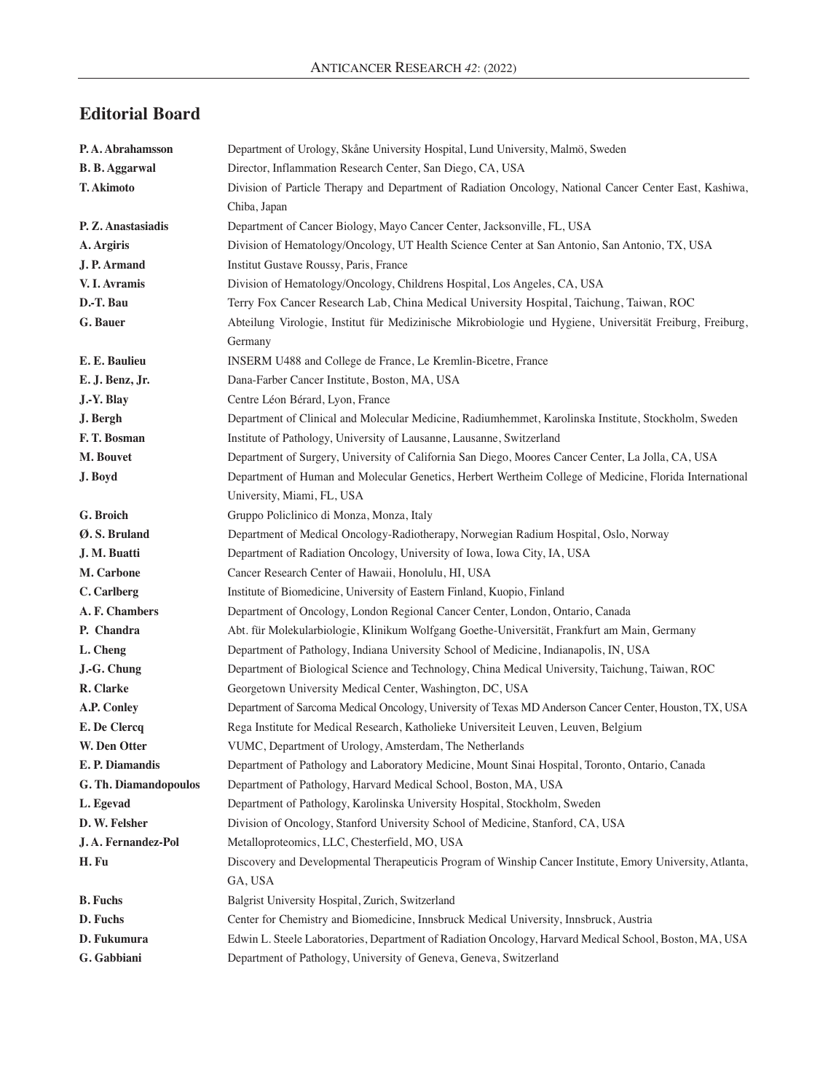## **Editorial Board**

| P.A. Abrahamsson      | Department of Urology, Skåne University Hospital, Lund University, Malmö, Sweden                          |
|-----------------------|-----------------------------------------------------------------------------------------------------------|
| <b>B. B. Aggarwal</b> | Director, Inflammation Research Center, San Diego, CA, USA                                                |
| T. Akimoto            | Division of Particle Therapy and Department of Radiation Oncology, National Cancer Center East, Kashiwa,  |
|                       | Chiba, Japan                                                                                              |
| P. Z. Anastasiadis    | Department of Cancer Biology, Mayo Cancer Center, Jacksonville, FL, USA                                   |
| A. Argiris            | Division of Hematology/Oncology, UT Health Science Center at San Antonio, San Antonio, TX, USA            |
| J. P. Armand          | Institut Gustave Roussy, Paris, France                                                                    |
| V. I. Avramis         | Division of Hematology/Oncology, Childrens Hospital, Los Angeles, CA, USA                                 |
| D.-T. Bau             | Terry Fox Cancer Research Lab, China Medical University Hospital, Taichung, Taiwan, ROC                   |
| G. Bauer              | Abteilung Virologie, Institut für Medizinische Mikrobiologie und Hygiene, Universität Freiburg, Freiburg, |
|                       | Germany                                                                                                   |
| E. E. Baulieu         | INSERM U488 and College de France, Le Kremlin-Bicetre, France                                             |
| E. J. Benz, Jr.       | Dana-Farber Cancer Institute, Boston, MA, USA                                                             |
| J.-Y. Blay            | Centre Léon Bérard, Lyon, France                                                                          |
| J. Bergh              | Department of Clinical and Molecular Medicine, Radiumhemmet, Karolinska Institute, Stockholm, Sweden      |
| F.T. Bosman           | Institute of Pathology, University of Lausanne, Lausanne, Switzerland                                     |
| M. Bouvet             | Department of Surgery, University of California San Diego, Moores Cancer Center, La Jolla, CA, USA        |
| J. Boyd               | Department of Human and Molecular Genetics, Herbert Wertheim College of Medicine, Florida International   |
|                       | University, Miami, FL, USA                                                                                |
| G. Broich             | Gruppo Policlinico di Monza, Monza, Italy                                                                 |
| Ø.S. Bruland          | Department of Medical Oncology-Radiotherapy, Norwegian Radium Hospital, Oslo, Norway                      |
| J. M. Buatti          | Department of Radiation Oncology, University of Iowa, Iowa City, IA, USA                                  |
| M. Carbone            | Cancer Research Center of Hawaii, Honolulu, HI, USA                                                       |
| C. Carlberg           | Institute of Biomedicine, University of Eastern Finland, Kuopio, Finland                                  |
| A. F. Chambers        | Department of Oncology, London Regional Cancer Center, London, Ontario, Canada                            |
| P. Chandra            | Abt. für Molekularbiologie, Klinikum Wolfgang Goethe-Universität, Frankfurt am Main, Germany              |
| L. Cheng              | Department of Pathology, Indiana University School of Medicine, Indianapolis, IN, USA                     |
| J.-G. Chung           | Department of Biological Science and Technology, China Medical University, Taichung, Taiwan, ROC          |
| R. Clarke             | Georgetown University Medical Center, Washington, DC, USA                                                 |
| A.P. Conley           | Department of Sarcoma Medical Oncology, University of Texas MD Anderson Cancer Center, Houston, TX, USA   |
| E. De Clercq          | Rega Institute for Medical Research, Katholieke Universiteit Leuven, Leuven, Belgium                      |
| W. Den Otter          | VUMC, Department of Urology, Amsterdam, The Netherlands                                                   |
| E. P. Diamandis       | Department of Pathology and Laboratory Medicine, Mount Sinai Hospital, Toronto, Ontario, Canada           |
| G. Th. Diamandopoulos | Department of Pathology, Harvard Medical School, Boston, MA, USA                                          |
| L. Egevad             | Department of Pathology, Karolinska University Hospital, Stockholm, Sweden                                |
| D. W. Felsher         | Division of Oncology, Stanford University School of Medicine, Stanford, CA, USA                           |
| J.A. Fernandez-Pol    | Metalloproteomics, LLC, Chesterfield, MO, USA                                                             |
| H. Fu                 | Discovery and Developmental Therapeuticis Program of Winship Cancer Institute, Emory University, Atlanta, |
|                       | GA, USA                                                                                                   |
| <b>B.</b> Fuchs       | Balgrist University Hospital, Zurich, Switzerland                                                         |
| D. Fuchs              | Center for Chemistry and Biomedicine, Innsbruck Medical University, Innsbruck, Austria                    |
| D. Fukumura           | Edwin L. Steele Laboratories, Department of Radiation Oncology, Harvard Medical School, Boston, MA, USA   |
| G. Gabbiani           | Department of Pathology, University of Geneva, Geneva, Switzerland                                        |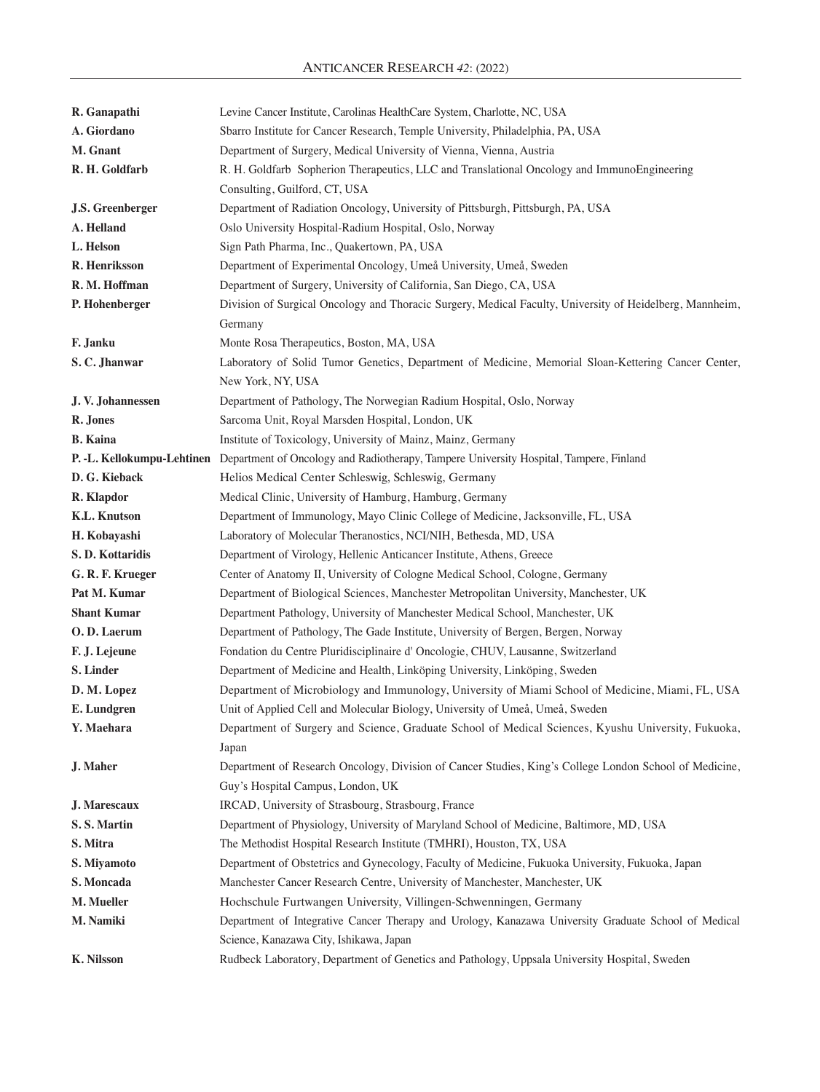| R. Ganapathi            | Levine Cancer Institute, Carolinas HealthCare System, Charlotte, NC, USA                                          |
|-------------------------|-------------------------------------------------------------------------------------------------------------------|
| A. Giordano             | Sbarro Institute for Cancer Research, Temple University, Philadelphia, PA, USA                                    |
| M. Gnant                | Department of Surgery, Medical University of Vienna, Vienna, Austria                                              |
| R. H. Goldfarb          | R. H. Goldfarb Sopherion Therapeutics, LLC and Translational Oncology and ImmunoEngineering                       |
|                         | Consulting, Guilford, CT, USA                                                                                     |
| <b>J.S. Greenberger</b> | Department of Radiation Oncology, University of Pittsburgh, Pittsburgh, PA, USA                                   |
| A. Helland              | Oslo University Hospital-Radium Hospital, Oslo, Norway                                                            |
| L. Helson               | Sign Path Pharma, Inc., Quakertown, PA, USA                                                                       |
| R. Henriksson           | Department of Experimental Oncology, Umeå University, Umeå, Sweden                                                |
| R. M. Hoffman           | Department of Surgery, University of California, San Diego, CA, USA                                               |
| P. Hohenberger          | Division of Surgical Oncology and Thoracic Surgery, Medical Faculty, University of Heidelberg, Mannheim,          |
|                         | Germany                                                                                                           |
| F. Janku                | Monte Rosa Therapeutics, Boston, MA, USA                                                                          |
| S.C. Jhanwar            | Laboratory of Solid Tumor Genetics, Department of Medicine, Memorial Sloan-Kettering Cancer Center,               |
|                         | New York, NY, USA                                                                                                 |
| J. V. Johannessen       | Department of Pathology, The Norwegian Radium Hospital, Oslo, Norway                                              |
| R. Jones                | Sarcoma Unit, Royal Marsden Hospital, London, UK                                                                  |
| <b>B.</b> Kaina         | Institute of Toxicology, University of Mainz, Mainz, Germany                                                      |
|                         | P. -L. Kellokumpu-Lehtinen Department of Oncology and Radiotherapy, Tampere University Hospital, Tampere, Finland |
| D. G. Kieback           | Helios Medical Center Schleswig, Schleswig, Germany                                                               |
| R. Klapdor              | Medical Clinic, University of Hamburg, Hamburg, Germany                                                           |
| <b>K.L. Knutson</b>     | Department of Immunology, Mayo Clinic College of Medicine, Jacksonville, FL, USA                                  |
| H. Kobayashi            | Laboratory of Molecular Theranostics, NCI/NIH, Bethesda, MD, USA                                                  |
| S.D. Kottaridis         | Department of Virology, Hellenic Anticancer Institute, Athens, Greece                                             |
| G. R. F. Krueger        | Center of Anatomy II, University of Cologne Medical School, Cologne, Germany                                      |
| Pat M. Kumar            | Department of Biological Sciences, Manchester Metropolitan University, Manchester, UK                             |
| <b>Shant Kumar</b>      | Department Pathology, University of Manchester Medical School, Manchester, UK                                     |
| O.D. Laerum             | Department of Pathology, The Gade Institute, University of Bergen, Bergen, Norway                                 |
| F. J. Lejeune           | Fondation du Centre Pluridisciplinaire d'Oncologie, CHUV, Lausanne, Switzerland                                   |
| S. Linder               | Department of Medicine and Health, Linköping University, Linköping, Sweden                                        |
| D. M. Lopez             | Department of Microbiology and Immunology, University of Miami School of Medicine, Miami, FL, USA                 |
| E. Lundgren             | Unit of Applied Cell and Molecular Biology, University of Umeå, Umeå, Sweden                                      |
| Y. Maehara              | Department of Surgery and Science, Graduate School of Medical Sciences, Kyushu University, Fukuoka,               |
|                         | Japan                                                                                                             |
| J. Maher                | Department of Research Oncology, Division of Cancer Studies, King's College London School of Medicine,            |
|                         | Guy's Hospital Campus, London, UK                                                                                 |
| J. Marescaux            | IRCAD, University of Strasbourg, Strasbourg, France                                                               |
| S.S. Martin             | Department of Physiology, University of Maryland School of Medicine, Baltimore, MD, USA                           |
| S. Mitra                | The Methodist Hospital Research Institute (TMHRI), Houston, TX, USA                                               |
| S. Miyamoto             | Department of Obstetrics and Gynecology, Faculty of Medicine, Fukuoka University, Fukuoka, Japan                  |
| S. Moncada              | Manchester Cancer Research Centre, University of Manchester, Manchester, UK                                       |
| M. Mueller              | Hochschule Furtwangen University, Villingen-Schwenningen, Germany                                                 |
| M. Namiki               | Department of Integrative Cancer Therapy and Urology, Kanazawa University Graduate School of Medical              |
|                         | Science, Kanazawa City, Ishikawa, Japan                                                                           |
| K. Nilsson              | Rudbeck Laboratory, Department of Genetics and Pathology, Uppsala University Hospital, Sweden                     |